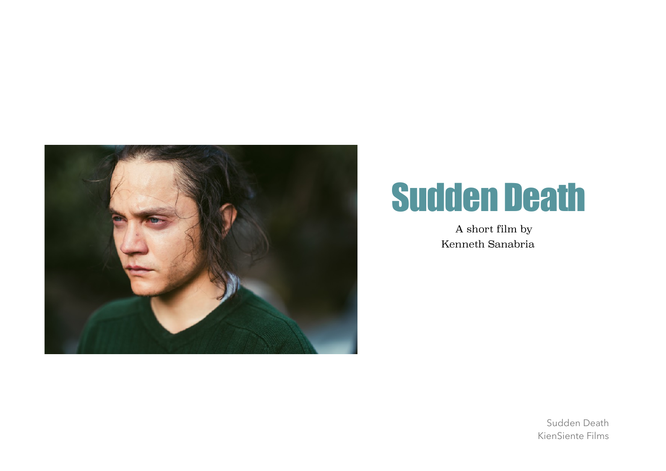

## Sudden Death

A short film by Kenneth Sanabria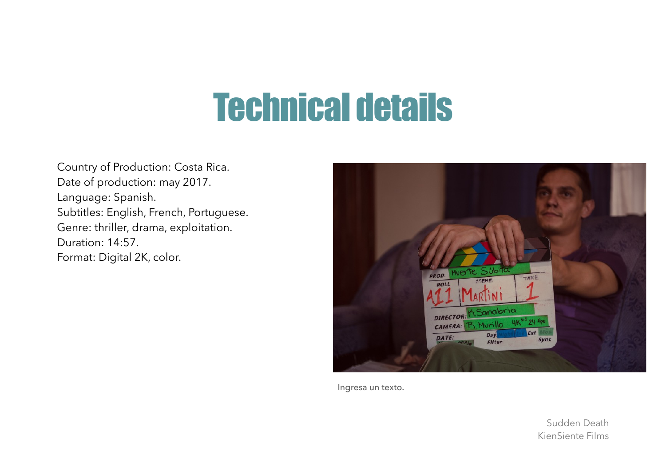# Technical details

Country of Production: Costa Rica. Date of production: may 2017. Language: Spanish. Subtitles: English, French, Portuguese. Genre: thriller, drama, exploitation. Duration: 14:57. Format: Digital 2K, color.



Ingresa un texto.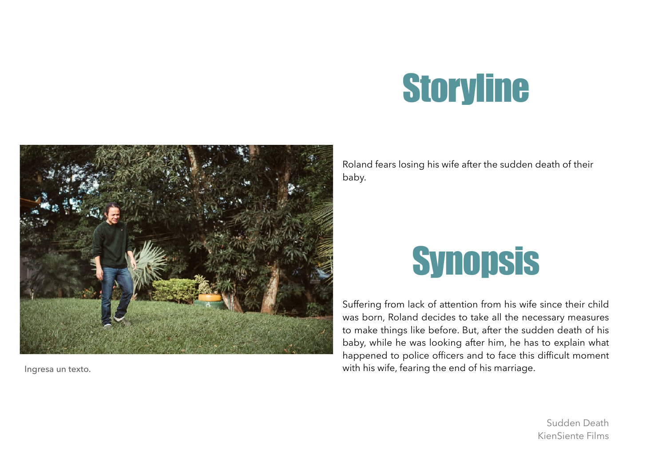# **Storyline**



Ingresa un texto.

Roland fears losing his wife after the sudden death of their baby.

# **Synopsis**

Suffering from lack of attention from his wife since their child was born, Roland decides to take all the necessary measures to make things like before. But, after the sudden death of his baby, while he was looking after him, he has to explain what happened to police officers and to face this difficult moment with his wife, fearing the end of his marriage.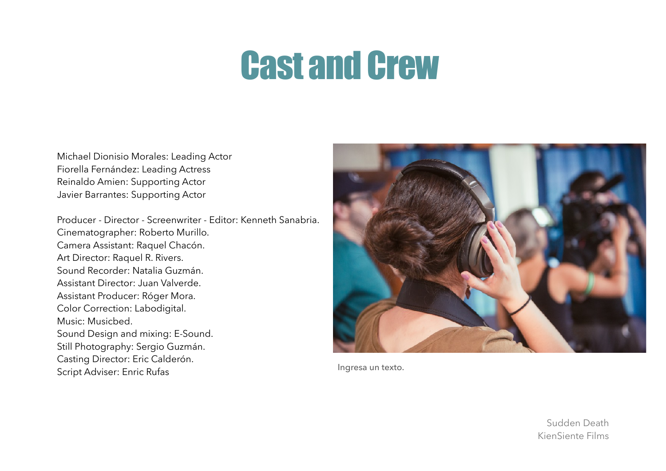# Cast and Crew

Michael Dionisio Morales: Leading Actor Fiorella Fernández: Leading Actress Reinaldo Amien: Supporting Actor Javier Barrantes: Supporting Actor

Producer - Director - Screenwriter - Editor: Kenneth Sanabria. Cinematographer: Roberto Murillo. Camera Assistant: Raquel Chacón. Art Director: Raquel R. Rivers. Sound Recorder: Natalia Guzmán. Assistant Director: Juan Valverde. Assistant Producer: Róger Mora. Color Correction: Labodigital. Music: Musicbed. Sound Design and mixing: E-Sound. Still Photography: Sergio Guzmán. Casting Director: Eric Calderón. Script Adviser: Enric Rufas



Ingresa un texto.